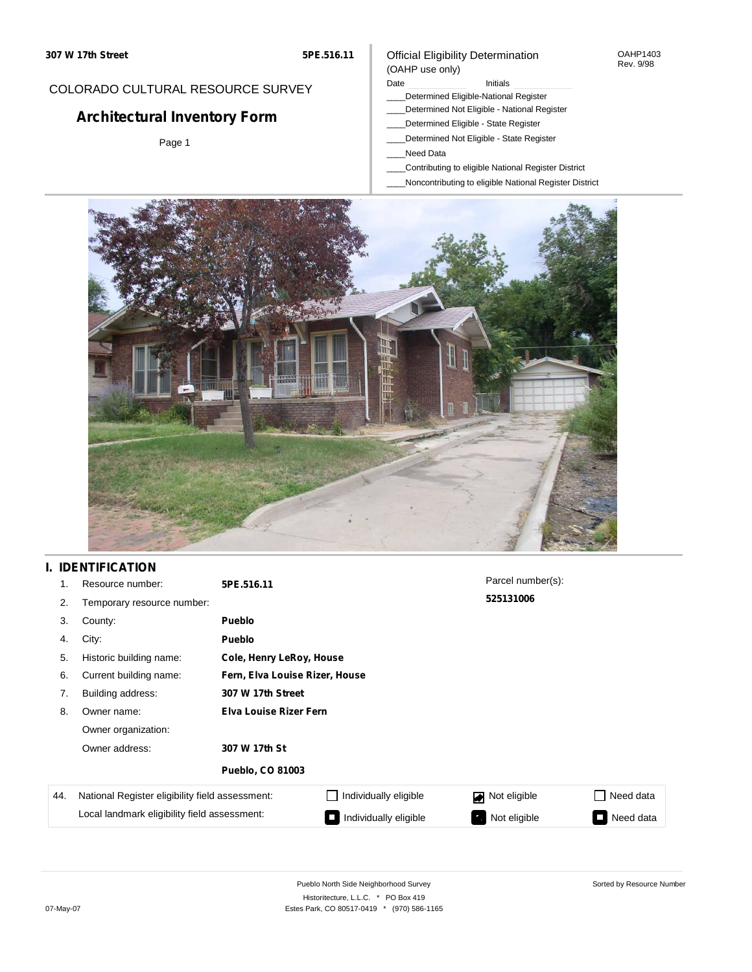#### OAHP1403 Rev. 9/98

### COLORADO CULTURAL RESOURCE SURVEY

# **Architectural Inventory Form**

Page 1

### (OAHP use only) Date **Initials** Initials

Official Eligibility Determination

- \_\_\_\_Determined Eligible-National Register
- \_\_\_\_Determined Not Eligible National Register
- \_\_\_\_Determined Eligible State Register
- \_\_\_\_Determined Not Eligible State Register
- \_\_\_\_Need Data
- \_\_\_\_Contributing to eligible National Register District
- \_\_\_\_Noncontributing to eligible National Register District



## **I. IDENTIFICATION**

| 1.  | Resource number:                                | 5PE.516.11                     |                       | Parcel number(s): |           |  |  |  |
|-----|-------------------------------------------------|--------------------------------|-----------------------|-------------------|-----------|--|--|--|
| 2.  | Temporary resource number:                      |                                |                       | 525131006         |           |  |  |  |
| 3.  | County:                                         | <b>Pueblo</b>                  |                       |                   |           |  |  |  |
| 4.  | City:                                           | Pueblo                         |                       |                   |           |  |  |  |
| 5.  | Historic building name:                         | Cole, Henry LeRoy, House       |                       |                   |           |  |  |  |
| 6.  | Current building name:                          | Fern, Elva Louise Rizer, House |                       |                   |           |  |  |  |
| 7.  | Building address:                               | 307 W 17th Street              |                       |                   |           |  |  |  |
| 8.  | Owner name:                                     | <b>Elva Louise Rizer Fern</b>  |                       |                   |           |  |  |  |
|     | Owner organization:                             |                                |                       |                   |           |  |  |  |
|     | Owner address:                                  | 307 W 17th St                  |                       |                   |           |  |  |  |
|     |                                                 | <b>Pueblo, CO 81003</b>        |                       |                   |           |  |  |  |
| 44. | National Register eligibility field assessment: |                                | Individually eligible | Not eligible      | Need data |  |  |  |
|     | Local landmark eligibility field assessment:    |                                | Individually eligible | Not eligible      | Need data |  |  |  |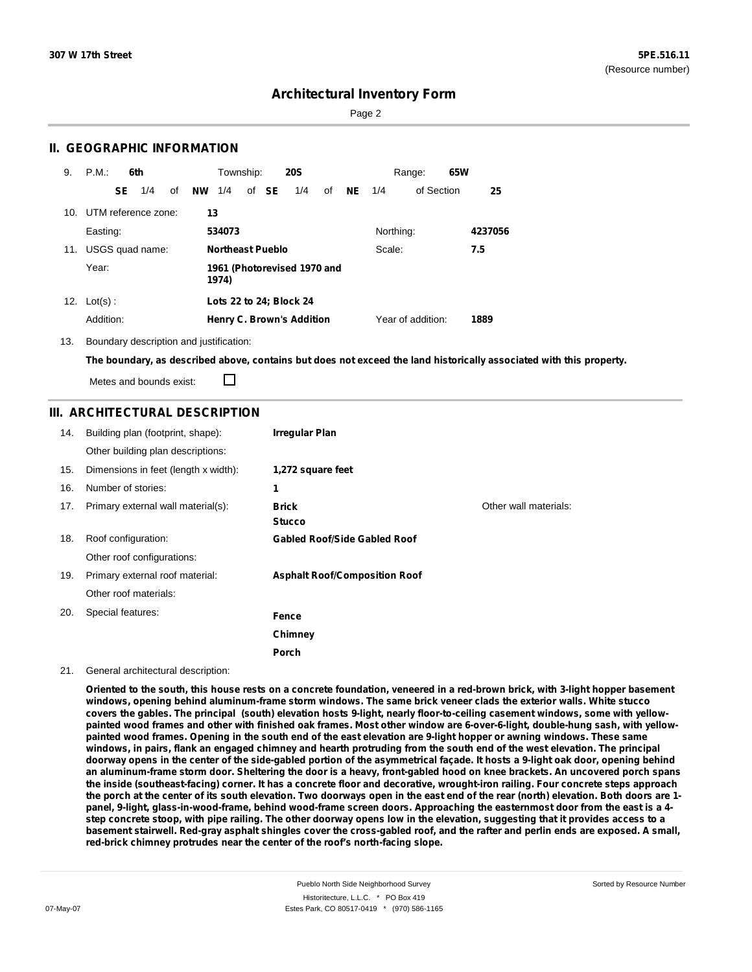Page 2

### **II. GEOGRAPHIC INFORMATION**

| 9.  | P.M.           |     | 6th                 |    |           | Township:               |       | <b>20S</b>                       |    |           |           | Range:            | 65W |         |
|-----|----------------|-----|---------------------|----|-----------|-------------------------|-------|----------------------------------|----|-----------|-----------|-------------------|-----|---------|
|     |                | SE. | 1/4                 | οf | <b>NW</b> | 1/4                     | of SE | 1/4                              | of | <b>NE</b> | 1/4       | of Section        |     | 25      |
| 10. |                |     | UTM reference zone: |    | 13        |                         |       |                                  |    |           |           |                   |     |         |
|     | Easting:       |     |                     |    |           | 534073                  |       |                                  |    |           | Northing: |                   |     | 4237056 |
| 11. |                |     | USGS quad name:     |    |           | <b>Northeast Pueblo</b> |       |                                  |    |           | Scale:    |                   |     | 7.5     |
|     | Year:          |     |                     |    |           | 1974)                   |       | 1961 (Photorevised 1970 and      |    |           |           |                   |     |         |
|     | 12. $Lot(s)$ : |     |                     |    |           |                         |       | Lots 22 to 24; Block 24          |    |           |           |                   |     |         |
|     | Addition:      |     |                     |    |           |                         |       | <b>Henry C. Brown's Addition</b> |    |           |           | Year of addition: |     | 1889    |

13. Boundary description and justification:

The boundary, as described above, contains but does not exceed the land historically associated with this property.

Metes and bounds exist:

П

### **III. ARCHITECTURAL DESCRIPTION**

| 14. | Building plan (footprint, shape):    | <b>Irregular Plan</b>                |                       |
|-----|--------------------------------------|--------------------------------------|-----------------------|
|     | Other building plan descriptions:    |                                      |                       |
| 15. | Dimensions in feet (length x width): | 1,272 square feet                    |                       |
| 16. | Number of stories:                   | 1                                    |                       |
| 17. | Primary external wall material(s):   | Brick<br><b>Stucco</b>               | Other wall materials: |
| 18. | Roof configuration:                  | <b>Gabled Roof/Side Gabled Roof</b>  |                       |
|     | Other roof configurations:           |                                      |                       |
| 19. | Primary external roof material:      | <b>Asphalt Roof/Composition Roof</b> |                       |
|     | Other roof materials:                |                                      |                       |
| 20. | Special features:                    | <b>Fence</b>                         |                       |
|     |                                      | Chimney                              |                       |
|     |                                      | <b>Porch</b>                         |                       |

#### 21. General architectural description:

Oriented to the south, this house rests on a concrete foundation, veneered in a red-brown brick, with 3-light hopper basement windows, opening behind aluminum-frame storm windows. The same brick veneer clads the exterior walls. White stucco covers the gables. The principal (south) elevation hosts 9-light, nearly floor-to-ceiling casement windows, some with yellowpainted wood frames and other with finished oak frames. Most other window are 6-over-6-light, double-hung sash, with yellowpainted wood frames. Opening in the south end of the east elevation are 9-light hopper or awning windows. These same windows, in pairs, flank an engaged chimney and hearth protruding from the south end of the west elevation. The principal doorway opens in the center of the side-gabled portion of the asymmetrical façade. It hosts a 9-light oak door, opening behind an aluminum-frame storm door. Sheltering the door is a heavy, front-gabled hood on knee brackets. An uncovered porch spans the inside (southeast-facing) corner. It has a concrete floor and decorative, wrought-iron railing. Four concrete steps approach the porch at the center of its south elevation. Two doorways open in the east end of the rear (north) elevation. Both doors are 1panel, 9-light, glass-in-wood-frame, behind wood-frame screen doors. Approaching the easternmost door from the east is a 4step concrete stoop, with pipe railing. The other doorway opens low in the elevation, suggesting that it provides access to a basement stairwell. Red-gray asphalt shingles cover the cross-gabled roof, and the rafter and perlin ends are exposed. A small, **red-brick chimney protrudes near the center of the roof's north-facing slope.**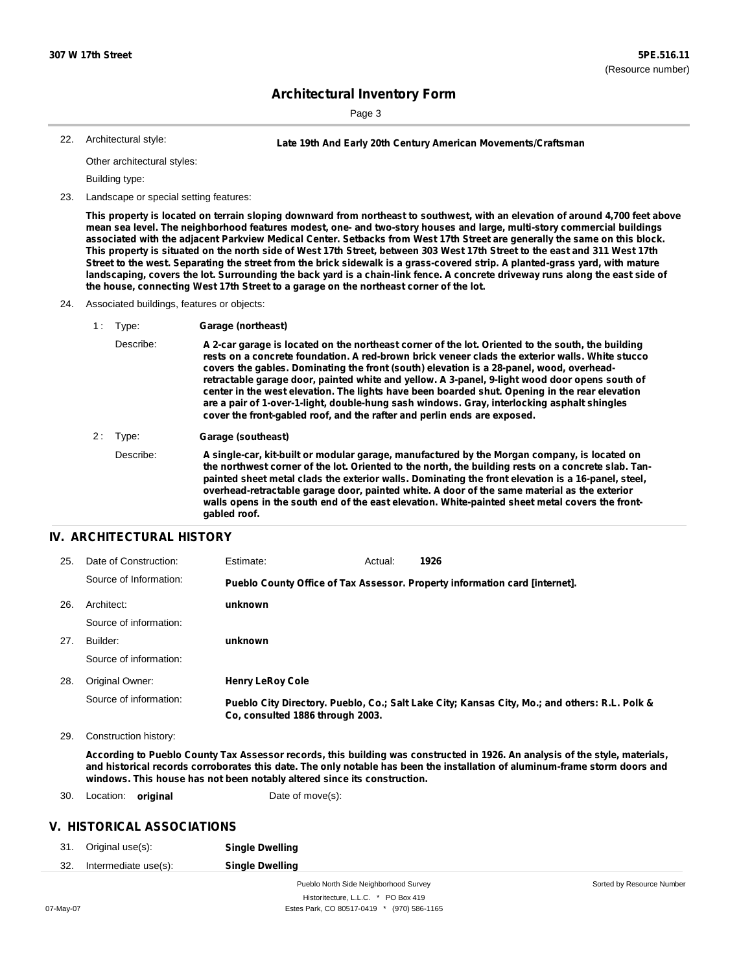Sorted by Resource Number

## **Architectural Inventory Form**

Page 3

Architectural style:

22. **Late 19th And Early 20th Century American Movements/Craftsman**

Other architectural styles:

Building type:

23. Landscape or special setting features:

This property is located on terrain sloping downward from northeast to southwest, with an elevation of around 4,700 feet above mean sea level. The neighborhood features modest, one- and two-story houses and large, multi-story commercial buildings associated with the adjacent Parkview Medical Center. Setbacks from West 17th Street are generally the same on this block. This property is situated on the north side of West 17th Street, between 303 West 17th Street to the east and 311 West 17th Street to the west. Separating the street from the brick sidewalk is a grass-covered strip. A planted-grass yard, with mature landscaping, covers the lot. Surrounding the back yard is a chain-link fence. A concrete driveway runs along the east side of **the house, connecting West 17th Street to a garage on the northeast corner of the lot.**

- 24. Associated buildings, features or objects:
	- 1 : Type: **Garage (northeast)**
		- Describe: A 2-car garage is located on the northeast corner of the lot. Oriented to the south, the building **rests on a concrete foundation. A red-brown brick veneer clads the exterior walls. White stucco covers the gables. Dominating the front (south) elevation is a 28-panel, wood, overheadretractable garage door, painted white and yellow. A 3-panel, 9-light wood door opens south of center in the west elevation. The lights have been boarded shut. Opening in the rear elevation are a pair of 1-over-1-light, double-hung sash windows. Gray, interlocking asphalt shingles cover the front-gabled roof, and the rafter and perlin ends are exposed.**
	- 2 : Type: **Garage (southeast)**

Describe: **A single-car, kit-built or modular garage, manufactured by the Morgan company, is located on** the northwest corner of the lot. Oriented to the north, the building rests on a concrete slab. Tan**painted sheet metal clads the exterior walls. Dominating the front elevation is a 16-panel, steel, overhead-retractable garage door, painted white. A door of the same material as the exterior walls opens in the south end of the east elevation. White-painted sheet metal covers the frontgabled roof.**

### **IV. ARCHITECTURAL HISTORY**

| 25. | Date of Construction:  | Estimate:                        | Actual: | 1926                                                                                          |
|-----|------------------------|----------------------------------|---------|-----------------------------------------------------------------------------------------------|
|     | Source of Information: |                                  |         | Pueblo County Office of Tax Assessor. Property information card [internet].                   |
| 26. | Architect:             | unknown                          |         |                                                                                               |
|     | Source of information: |                                  |         |                                                                                               |
| 27. | Builder:               | unknown                          |         |                                                                                               |
|     | Source of information: |                                  |         |                                                                                               |
| 28. | Original Owner:        | <b>Henry LeRoy Cole</b>          |         |                                                                                               |
|     | Source of information: | Co. consulted 1886 through 2003. |         | Pueblo City Directory. Pueblo, Co.; Salt Lake City; Kansas City, Mo.; and others: R.L. Polk & |

29. Construction history:

According to Pueblo County Tax Assessor records, this building was constructed in 1926. An analysis of the style, materials, and historical records corroborates this date. The only notable has been the installation of aluminum-frame storm doors and **windows. This house has not been notably altered since its construction.**

30. Location: **original** Date of move(s):

### **V. HISTORICAL ASSOCIATIONS**

| 31. | Original use(s):     | <b>Single Dwelling</b> |
|-----|----------------------|------------------------|
| 32. | Intermediate use(s): | <b>Single Dwelling</b> |

Pueblo North Side Neighborhood Survey Historitecture, L.L.C. \* PO Box 419 07-May-07 Estes Park, CO 80517-0419 \* (970) 586-1165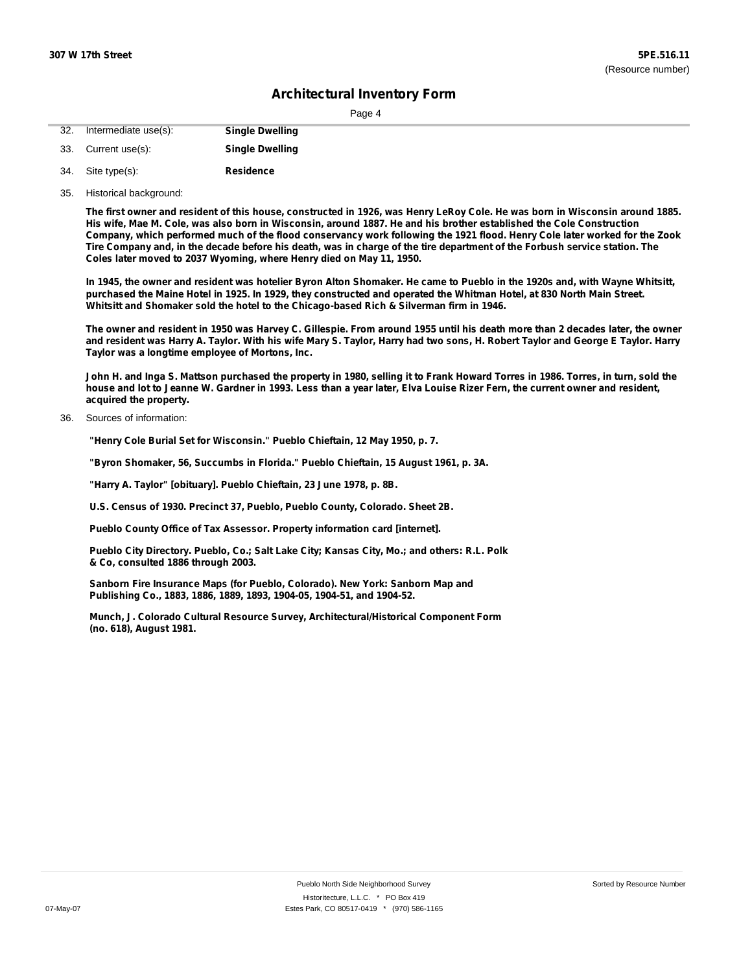| 32. | Intermediate use(s): | <b>Single Dwelling</b> |
|-----|----------------------|------------------------|
|     | 33. Current use(s):  | <b>Single Dwelling</b> |

- **Residence** Site type(s): 34.
- 35. Historical background:

The first owner and resident of this house, constructed in 1926, was Henry LeRoy Cole. He was born in Wisconsin around 1885. His wife, Mae M. Cole, was also born in Wisconsin, around 1887. He and his brother established the Cole Construction Company, which performed much of the flood conservancy work following the 1921 flood. Henry Cole later worked for the Zook Tire Company and, in the decade before his death, was in charge of the tire department of the Forbush service station. The **Coles later moved to 2037 Wyoming, where Henry died on May 11, 1950.**

In 1945, the owner and resident was hotelier Byron Alton Shomaker. He came to Pueblo in the 1920s and, with Wayne Whitsitt, purchased the Maine Hotel in 1925. In 1929, they constructed and operated the Whitman Hotel, at 830 North Main Street. **Whitsitt and Shomaker sold the hotel to the Chicago-based Rich & Silverman firm in 1946.**

The owner and resident in 1950 was Harvey C. Gillespie. From around 1955 until his death more than 2 decades later, the owner and resident was Harry A. Taylor. With his wife Mary S. Taylor, Harry had two sons, H. Robert Taylor and George E Taylor. Harry **Taylor was a longtime employee of Mortons, Inc.**

John H. and Inga S. Mattson purchased the property in 1980, selling it to Frank Howard Torres in 1986. Torres, in turn, sold the house and lot to Jeanne W. Gardner in 1993. Less than a year later, Elva Louise Rizer Fern, the current owner and resident, **acquired the property.**

Sources of information: 36.

**"Henry Cole Burial Set for Wisconsin." Pueblo Chieftain, 12 May 1950, p. 7.**

**"Byron Shomaker, 56, Succumbs in Florida." Pueblo Chieftain, 15 August 1961, p. 3A.**

**"Harry A. Taylor" [obituary]. Pueblo Chieftain, 23 June 1978, p. 8B.**

**U.S. Census of 1930. Precinct 37, Pueblo, Pueblo County, Colorado. Sheet 2B.**

**Pueblo County Office of Tax Assessor. Property information card [internet].**

**Pueblo City Directory. Pueblo, Co.; Salt Lake City; Kansas City, Mo.; and others: R.L. Polk & Co, consulted 1886 through 2003.**

**Sanborn Fire Insurance Maps (for Pueblo, Colorado). New York: Sanborn Map and Publishing Co., 1883, 1886, 1889, 1893, 1904-05, 1904-51, and 1904-52.**

**Munch, J. Colorado Cultural Resource Survey, Architectural/Historical Component Form (no. 618), August 1981.**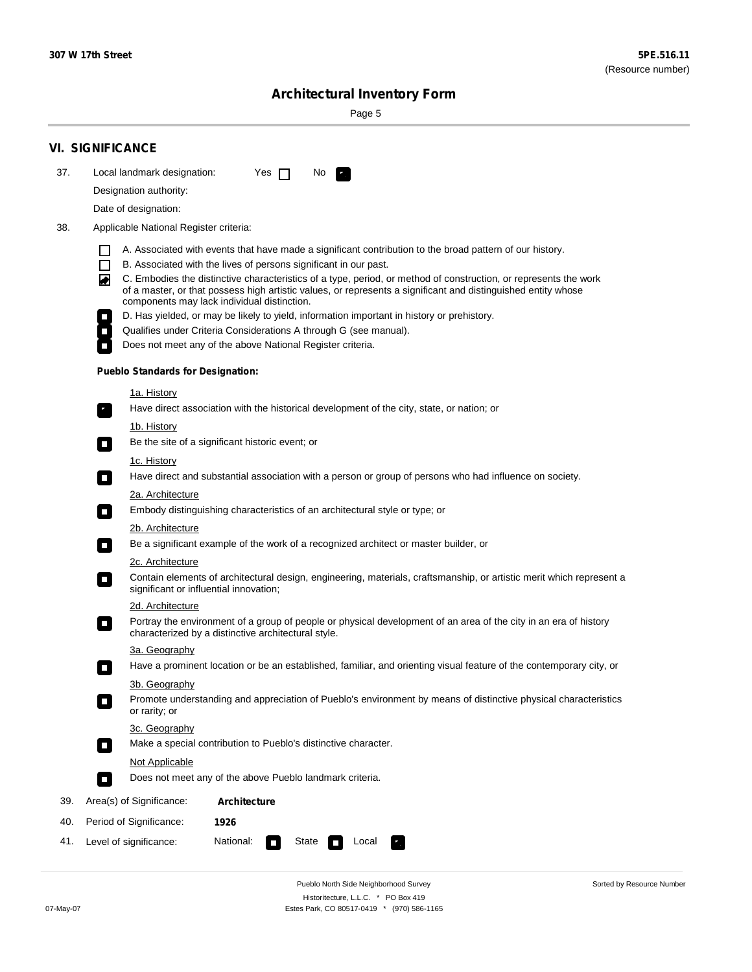Sorted by Resource Number

# **Architectural Inventory Form**

Page 5

|     | <b>VI. SIGNIFICANCE</b>                                                                                                                                                                                                                                                                                                                                                                                                                                                                                                                                                                                                                                                                                                                                                                                                                                                                                                                                                                                                                                                                                                                                                                                                                                                                                                                                                                                                                                                                                                                                                                                                                                                                                                                                                                                                                              |
|-----|------------------------------------------------------------------------------------------------------------------------------------------------------------------------------------------------------------------------------------------------------------------------------------------------------------------------------------------------------------------------------------------------------------------------------------------------------------------------------------------------------------------------------------------------------------------------------------------------------------------------------------------------------------------------------------------------------------------------------------------------------------------------------------------------------------------------------------------------------------------------------------------------------------------------------------------------------------------------------------------------------------------------------------------------------------------------------------------------------------------------------------------------------------------------------------------------------------------------------------------------------------------------------------------------------------------------------------------------------------------------------------------------------------------------------------------------------------------------------------------------------------------------------------------------------------------------------------------------------------------------------------------------------------------------------------------------------------------------------------------------------------------------------------------------------------------------------------------------------|
| 37. | Local landmark designation:<br>Yes $\Box$<br>No.                                                                                                                                                                                                                                                                                                                                                                                                                                                                                                                                                                                                                                                                                                                                                                                                                                                                                                                                                                                                                                                                                                                                                                                                                                                                                                                                                                                                                                                                                                                                                                                                                                                                                                                                                                                                     |
|     | Designation authority:                                                                                                                                                                                                                                                                                                                                                                                                                                                                                                                                                                                                                                                                                                                                                                                                                                                                                                                                                                                                                                                                                                                                                                                                                                                                                                                                                                                                                                                                                                                                                                                                                                                                                                                                                                                                                               |
|     | Date of designation:                                                                                                                                                                                                                                                                                                                                                                                                                                                                                                                                                                                                                                                                                                                                                                                                                                                                                                                                                                                                                                                                                                                                                                                                                                                                                                                                                                                                                                                                                                                                                                                                                                                                                                                                                                                                                                 |
| 38. | Applicable National Register criteria:                                                                                                                                                                                                                                                                                                                                                                                                                                                                                                                                                                                                                                                                                                                                                                                                                                                                                                                                                                                                                                                                                                                                                                                                                                                                                                                                                                                                                                                                                                                                                                                                                                                                                                                                                                                                               |
|     | A. Associated with events that have made a significant contribution to the broad pattern of our history.<br>B. Associated with the lives of persons significant in our past.<br>C. Embodies the distinctive characteristics of a type, period, or method of construction, or represents the work<br>◙<br>of a master, or that possess high artistic values, or represents a significant and distinguished entity whose<br>components may lack individual distinction.<br>D. Has yielded, or may be likely to yield, information important in history or prehistory.<br>Qualifies under Criteria Considerations A through G (see manual).<br>Does not meet any of the above National Register criteria.<br><b>Pueblo Standards for Designation:</b><br><u>1a. History</u><br>Have direct association with the historical development of the city, state, or nation; or<br>$\overline{\phantom{a}}$ .<br><u>1b. History</u><br>Be the site of a significant historic event; or<br>$\Box$<br>1c. History<br>Have direct and substantial association with a person or group of persons who had influence on society.<br>$\sim$<br>2a. Architecture<br>Embody distinguishing characteristics of an architectural style or type; or<br>$\overline{\phantom{a}}$<br>2b. Architecture<br>Be a significant example of the work of a recognized architect or master builder, or<br>$\overline{\phantom{a}}$<br>2c. Architecture<br>Contain elements of architectural design, engineering, materials, craftsmanship, or artistic merit which represent a<br>$\mathcal{L}_{\mathcal{A}}$<br>significant or influential innovation;<br>2d. Architecture<br>Portray the environment of a group of people or physical development of an area of the city in an era of history<br>$\mathcal{L}_{\mathcal{A}}$<br>characterized by a distinctive architectural style. |
|     | 3a. Geography                                                                                                                                                                                                                                                                                                                                                                                                                                                                                                                                                                                                                                                                                                                                                                                                                                                                                                                                                                                                                                                                                                                                                                                                                                                                                                                                                                                                                                                                                                                                                                                                                                                                                                                                                                                                                                        |
|     | Have a prominent location or be an established, familiar, and orienting visual feature of the contemporary city, or<br>П                                                                                                                                                                                                                                                                                                                                                                                                                                                                                                                                                                                                                                                                                                                                                                                                                                                                                                                                                                                                                                                                                                                                                                                                                                                                                                                                                                                                                                                                                                                                                                                                                                                                                                                             |
|     | 3b. Geography<br>Promote understanding and appreciation of Pueblo's environment by means of distinctive physical characteristics<br>or rarity; or                                                                                                                                                                                                                                                                                                                                                                                                                                                                                                                                                                                                                                                                                                                                                                                                                                                                                                                                                                                                                                                                                                                                                                                                                                                                                                                                                                                                                                                                                                                                                                                                                                                                                                    |
|     | 3c. Geography<br>Make a special contribution to Pueblo's distinctive character.<br>О                                                                                                                                                                                                                                                                                                                                                                                                                                                                                                                                                                                                                                                                                                                                                                                                                                                                                                                                                                                                                                                                                                                                                                                                                                                                                                                                                                                                                                                                                                                                                                                                                                                                                                                                                                 |
|     | Not Applicable                                                                                                                                                                                                                                                                                                                                                                                                                                                                                                                                                                                                                                                                                                                                                                                                                                                                                                                                                                                                                                                                                                                                                                                                                                                                                                                                                                                                                                                                                                                                                                                                                                                                                                                                                                                                                                       |
|     | Does not meet any of the above Pueblo landmark criteria.<br>$\overline{\phantom{a}}$                                                                                                                                                                                                                                                                                                                                                                                                                                                                                                                                                                                                                                                                                                                                                                                                                                                                                                                                                                                                                                                                                                                                                                                                                                                                                                                                                                                                                                                                                                                                                                                                                                                                                                                                                                 |
| 39. | Area(s) of Significance:<br>Architecture                                                                                                                                                                                                                                                                                                                                                                                                                                                                                                                                                                                                                                                                                                                                                                                                                                                                                                                                                                                                                                                                                                                                                                                                                                                                                                                                                                                                                                                                                                                                                                                                                                                                                                                                                                                                             |
| 40. | Period of Significance:<br>1926                                                                                                                                                                                                                                                                                                                                                                                                                                                                                                                                                                                                                                                                                                                                                                                                                                                                                                                                                                                                                                                                                                                                                                                                                                                                                                                                                                                                                                                                                                                                                                                                                                                                                                                                                                                                                      |
| 41. | National:<br>Level of significance:<br>State<br>Local                                                                                                                                                                                                                                                                                                                                                                                                                                                                                                                                                                                                                                                                                                                                                                                                                                                                                                                                                                                                                                                                                                                                                                                                                                                                                                                                                                                                                                                                                                                                                                                                                                                                                                                                                                                                |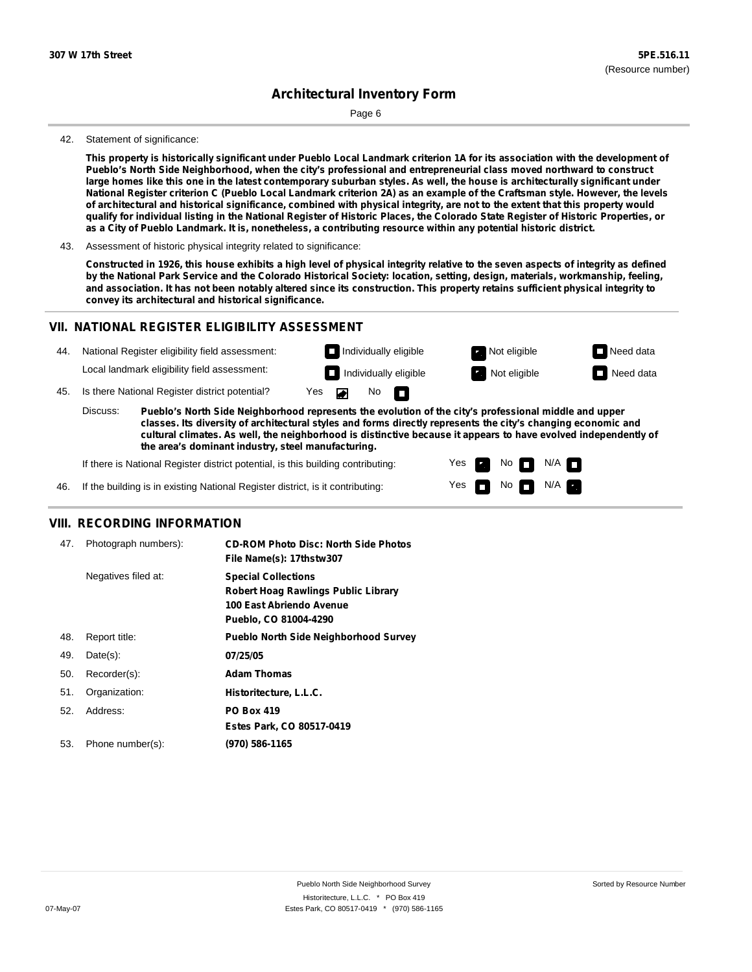Page 6

#### 42. Statement of significance:

This property is historically significant under Pueblo Local Landmark criterion 1A for its association with the development of **Pueblo's North Side Neighborhood, when the city's professional and entrepreneurial class moved northward to construct** large homes like this one in the latest contemporary suburban styles. As well, the house is architecturally significant under National Register criterion C (Pueblo Local Landmark criterion 2A) as an example of the Craftsman style. However, the levels of architectural and historical significance, combined with physical integrity, are not to the extent that this property would qualify for individual listing in the National Register of Historic Places, the Colorado State Register of Historic Properties, or as a City of Pueblo Landmark. It is, nonetheless, a contributing resource within any potential historic district.

43. Assessment of historic physical integrity related to significance:

Constructed in 1926, this house exhibits a high level of physical integrity relative to the seven aspects of integrity as defined by the National Park Service and the Colorado Historical Society: location, setting, design, materials, workmanship, feeling, and association. It has not been notably altered since its construction. This property retains sufficient physical integrity to **convey its architectural and historical significance.**

### **VII. NATIONAL REGISTER ELIGIBILITY ASSESSMENT**



**classes. Its diversity of architectural styles and forms directly represents the city's changing economic and cultural climates. As well, the neighborhood is distinctive because it appears to have evolved independently of the area's dominant industry, steel manufacturing.**

> Yes Yes

Non<sub>d</sub> N/A No  $\blacksquare$  N/A  $\blacksquare$ 

If there is National Register district potential, is this building contributing:

If the building is in existing National Register district, is it contributing: 46.

### **VIII. RECORDING INFORMATION**

| 47. | Photograph numbers): | <b>CD-ROM Photo Disc: North Side Photos</b><br>File Name(s): 17thstw307                                                       |
|-----|----------------------|-------------------------------------------------------------------------------------------------------------------------------|
|     | Negatives filed at:  | <b>Special Collections</b><br><b>Robert Hoag Rawlings Public Library</b><br>100 East Abriendo Avenue<br>Pueblo, CO 81004-4290 |
| 48. | Report title:        | <b>Pueblo North Side Neighborhood Survey</b>                                                                                  |
| 49. | $Date(s)$ :          | 07/25/05                                                                                                                      |
| 50. | Recorder(s):         | <b>Adam Thomas</b>                                                                                                            |
| 51. | Organization:        | Historitecture, L.L.C.                                                                                                        |
| 52. | Address:             | <b>PO Box 419</b>                                                                                                             |
|     |                      | Estes Park, CO 80517-0419                                                                                                     |
| 53. | Phone number(s):     | (970) 586-1165                                                                                                                |
|     |                      |                                                                                                                               |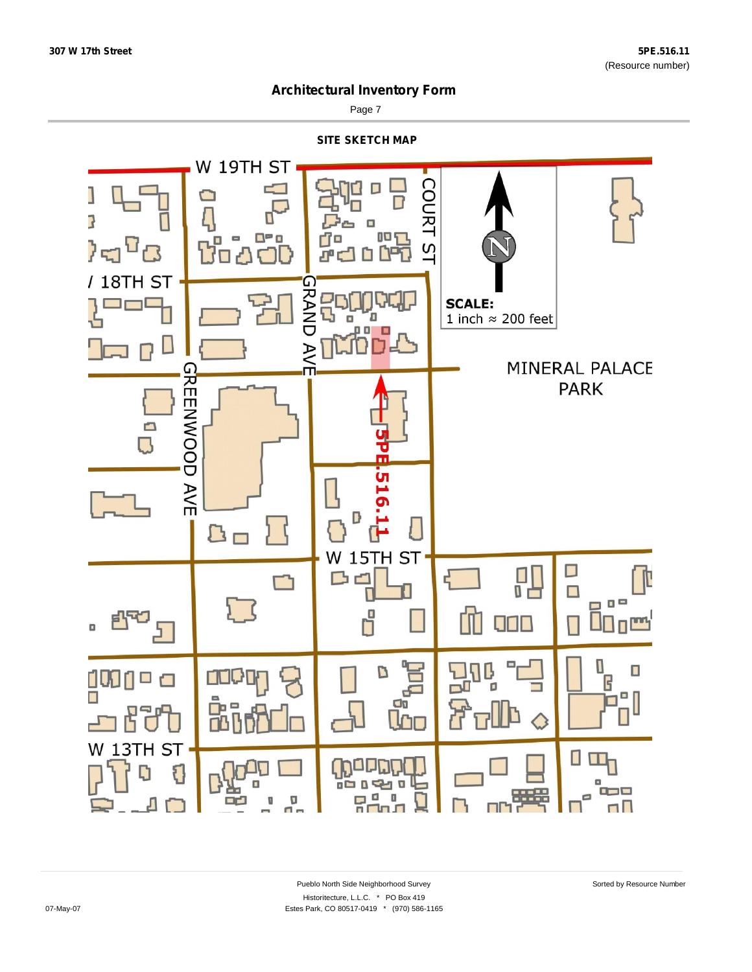

Page 7